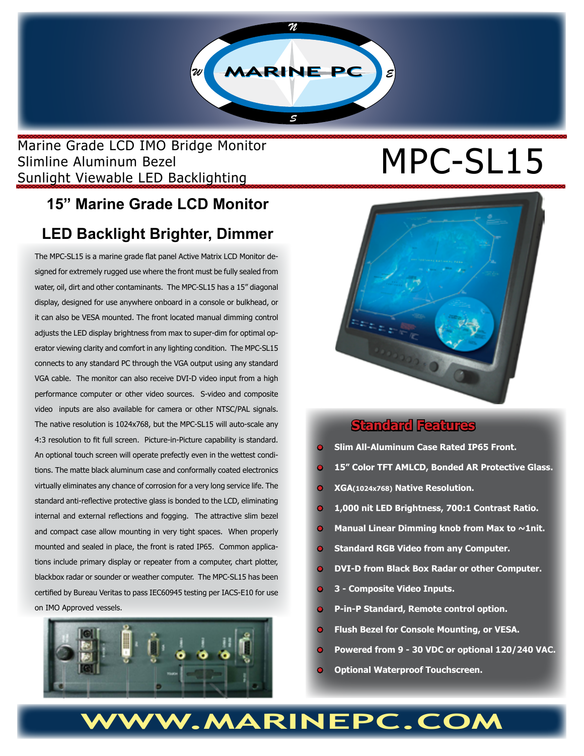

# Marine Grade LCD IMO Bridge Monitor<br>Slimline Aluminum Bezel<br>
MPC-SL15 Slimline Aluminum Bezel Sunlight Viewable LED Backlighting

# **15" Marine Grade LCD Monitor**

# **LED Backlight Brighter, Dimmer**

The MPC-SL15 is a marine grade flat panel Active Matrix LCD Monitor designed for extremely rugged use where the front must be fully sealed from water, oil, dirt and other contaminants. The MPC-SL15 has a 15" diagonal display, designed for use anywhere onboard in a console or bulkhead, or it can also be VESA mounted. The front located manual dimming control adjusts the LED display brightness from max to super-dim for optimal operator viewing clarity and comfort in any lighting condition. The MPC-SL15 connects to any standard PC through the VGA output using any standard VGA cable. The monitor can also receive DVI-D video input from a high performance computer or other video sources. S-video and composite video inputs are also available for camera or other NTSC/PAL signals. The native resolution is 1024x768, but the MPC-SL15 will auto-scale any 4:3 resolution to fit full screen. Picture-in-Picture capability is standard. An optional touch screen will operate prefectly even in the wettest conditions. The matte black aluminum case and conformally coated electronics virtually eliminates any chance of corrosion for a very long service life. The standard anti-reflective protective glass is bonded to the LCD, eliminating internal and external reflections and fogging. The attractive slim bezel and compact case allow mounting in very tight spaces. When properly mounted and sealed in place, the front is rated IP65. Common applications include primary display or repeater from a computer, chart plotter, blackbox radar or sounder or weather computer. The MPC-SL15 has been certified by Bureau Veritas to pass IEC60945 testing per IACS-E10 for use on IMO Approved vessels.





#### **Standard Features**

- **• Slim All-Aluminum Case Rated IP65 Front.**
- **• 15" Color TFT AMLCD, Bonded AR Protective Glass.**
- **• XGA(1024x768) Native Resolution.**
- **1,000 nit LED Brightness, 700:1 Contrast Ratio.**
- **Manual Linear Dimming knob from Max to ~1nit.**
- **• Standard RGB Video from any Computer.**
- **• DVI-D from Black Box Radar or other Computer.**
- **• 3 Composite Video Inputs.**
- **• P-in-P Standard, Remote control option.**
- **• Flush Bezel for Console Mounting, or VESA.**
- **• Powered from 9 30 VDC or optional 120/240 VAC.**
- **• Optional Waterproof Touchscreen.**

# W.MARINEPC.COM